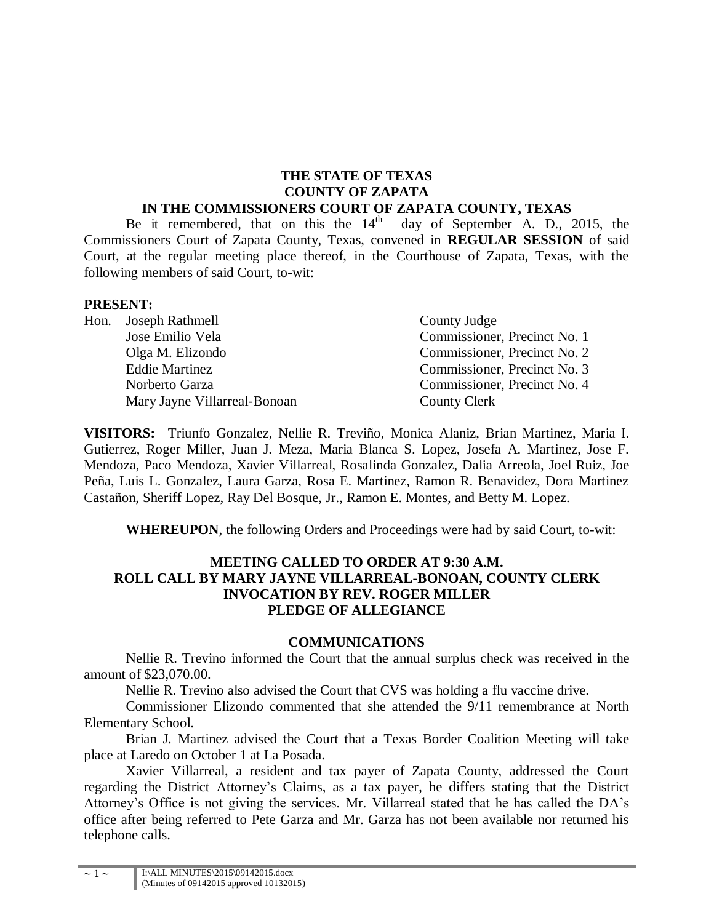#### **THE STATE OF TEXAS COUNTY OF ZAPATA IN THE COMMISSIONERS COURT OF ZAPATA COUNTY, TEXAS**

Be it remembered, that on this the  $14<sup>th</sup>$  day of September A. D., 2015, the Commissioners Court of Zapata County, Texas, convened in **REGULAR SESSION** of said Court, at the regular meeting place thereof, in the Courthouse of Zapata, Texas, with the following members of said Court, to-wit:

#### **PRESENT:**

| Hon. Joseph Rathmell         | County Judge                 |
|------------------------------|------------------------------|
| Jose Emilio Vela             | Commissioner, Precinct No. 1 |
| Olga M. Elizondo             | Commissioner, Precinct No. 2 |
| <b>Eddie Martinez</b>        | Commissioner, Precinct No. 3 |
| Norberto Garza               | Commissioner, Precinct No. 4 |
| Mary Jayne Villarreal-Bonoan | <b>County Clerk</b>          |

**VISITORS:** Triunfo Gonzalez, Nellie R. Treviño, Monica Alaniz, Brian Martinez, Maria I. Gutierrez, Roger Miller, Juan J. Meza, Maria Blanca S. Lopez, Josefa A. Martinez, Jose F. Mendoza, Paco Mendoza, Xavier Villarreal, Rosalinda Gonzalez, Dalia Arreola, Joel Ruiz, Joe Peña, Luis L. Gonzalez, Laura Garza, Rosa E. Martinez, Ramon R. Benavidez, Dora Martinez Castañon, Sheriff Lopez, Ray Del Bosque, Jr., Ramon E. Montes, and Betty M. Lopez.

**WHEREUPON**, the following Orders and Proceedings were had by said Court, to-wit:

## **MEETING CALLED TO ORDER AT 9:30 A.M. ROLL CALL BY MARY JAYNE VILLARREAL-BONOAN, COUNTY CLERK INVOCATION BY REV. ROGER MILLER PLEDGE OF ALLEGIANCE**

#### **COMMUNICATIONS**

Nellie R. Trevino informed the Court that the annual surplus check was received in the amount of \$23,070.00.

Nellie R. Trevino also advised the Court that CVS was holding a flu vaccine drive.

Commissioner Elizondo commented that she attended the 9/11 remembrance at North Elementary School.

Brian J. Martinez advised the Court that a Texas Border Coalition Meeting will take place at Laredo on October 1 at La Posada.

Xavier Villarreal, a resident and tax payer of Zapata County, addressed the Court regarding the District Attorney's Claims, as a tax payer, he differs stating that the District Attorney's Office is not giving the services. Mr. Villarreal stated that he has called the DA's office after being referred to Pete Garza and Mr. Garza has not been available nor returned his telephone calls.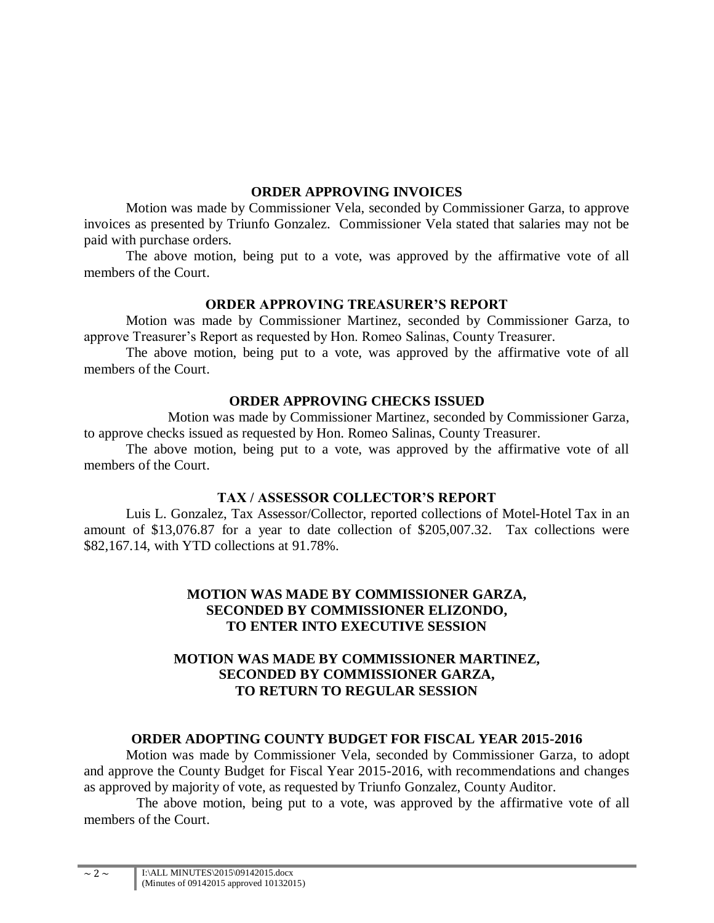#### **ORDER APPROVING INVOICES**

Motion was made by Commissioner Vela, seconded by Commissioner Garza, to approve invoices as presented by Triunfo Gonzalez. Commissioner Vela stated that salaries may not be paid with purchase orders.

The above motion, being put to a vote, was approved by the affirmative vote of all members of the Court.

### **ORDER APPROVING TREASURER'S REPORT**

Motion was made by Commissioner Martinez, seconded by Commissioner Garza, to approve Treasurer's Report as requested by Hon. Romeo Salinas, County Treasurer.

The above motion, being put to a vote, was approved by the affirmative vote of all members of the Court.

### **ORDER APPROVING CHECKS ISSUED**

Motion was made by Commissioner Martinez, seconded by Commissioner Garza, to approve checks issued as requested by Hon. Romeo Salinas, County Treasurer.

The above motion, being put to a vote, was approved by the affirmative vote of all members of the Court.

# **TAX / ASSESSOR COLLECTOR'S REPORT**

Luis L. Gonzalez, Tax Assessor/Collector, reported collections of Motel-Hotel Tax in an amount of \$13,076.87 for a year to date collection of \$205,007.32. Tax collections were \$82,167.14, with YTD collections at 91.78%.

## **MOTION WAS MADE BY COMMISSIONER GARZA, SECONDED BY COMMISSIONER ELIZONDO, TO ENTER INTO EXECUTIVE SESSION**

# **MOTION WAS MADE BY COMMISSIONER MARTINEZ, SECONDED BY COMMISSIONER GARZA, TO RETURN TO REGULAR SESSION**

# **ORDER ADOPTING COUNTY BUDGET FOR FISCAL YEAR 2015-2016**

Motion was made by Commissioner Vela, seconded by Commissioner Garza, to adopt and approve the County Budget for Fiscal Year 2015-2016, with recommendations and changes as approved by majority of vote, as requested by Triunfo Gonzalez, County Auditor.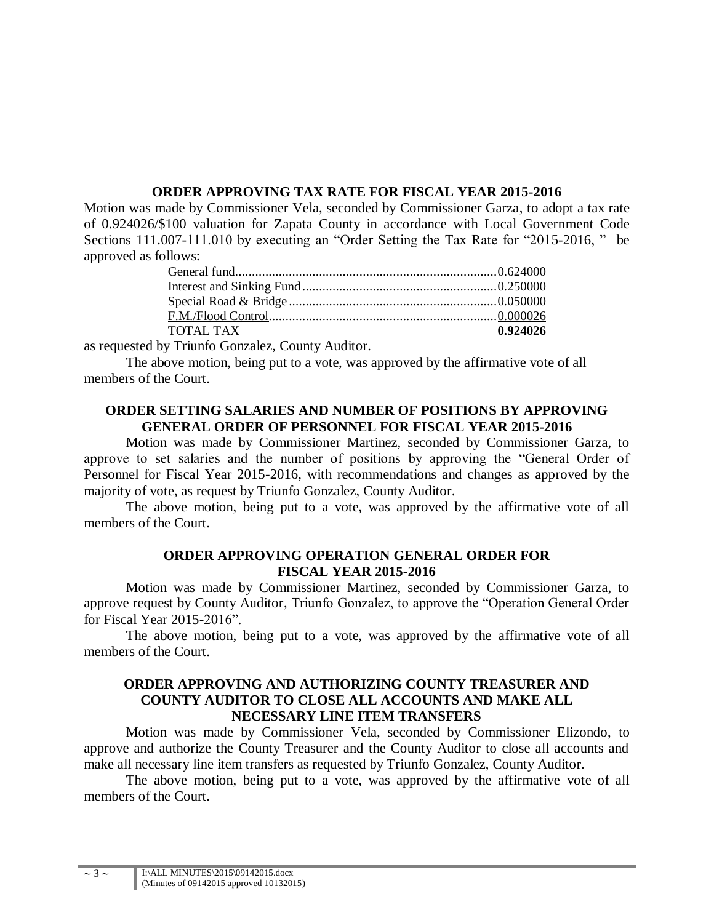### **ORDER APPROVING TAX RATE FOR FISCAL YEAR 2015-2016**

Motion was made by Commissioner Vela, seconded by Commissioner Garza, to adopt a tax rate of 0.924026/\$100 valuation for Zapata County in accordance with Local Government Code Sections 111.007-111.010 by executing an "Order Setting the Tax Rate for "2015-2016, " be approved as follows:

| <b>TOTAL TAX</b> | 0.924026 |
|------------------|----------|
|                  |          |

as requested by Triunfo Gonzalez, County Auditor.

The above motion, being put to a vote, was approved by the affirmative vote of all members of the Court.

# **ORDER SETTING SALARIES AND NUMBER OF POSITIONS BY APPROVING GENERAL ORDER OF PERSONNEL FOR FISCAL YEAR 2015-2016**

Motion was made by Commissioner Martinez, seconded by Commissioner Garza, to approve to set salaries and the number of positions by approving the "General Order of Personnel for Fiscal Year 2015-2016, with recommendations and changes as approved by the majority of vote, as request by Triunfo Gonzalez, County Auditor.

The above motion, being put to a vote, was approved by the affirmative vote of all members of the Court.

#### **ORDER APPROVING OPERATION GENERAL ORDER FOR FISCAL YEAR 2015-2016**

Motion was made by Commissioner Martinez, seconded by Commissioner Garza, to approve request by County Auditor, Triunfo Gonzalez, to approve the "Operation General Order for Fiscal Year 2015-2016".

The above motion, being put to a vote, was approved by the affirmative vote of all members of the Court.

## **ORDER APPROVING AND AUTHORIZING COUNTY TREASURER AND COUNTY AUDITOR TO CLOSE ALL ACCOUNTS AND MAKE ALL NECESSARY LINE ITEM TRANSFERS**

Motion was made by Commissioner Vela, seconded by Commissioner Elizondo, to approve and authorize the County Treasurer and the County Auditor to close all accounts and make all necessary line item transfers as requested by Triunfo Gonzalez, County Auditor.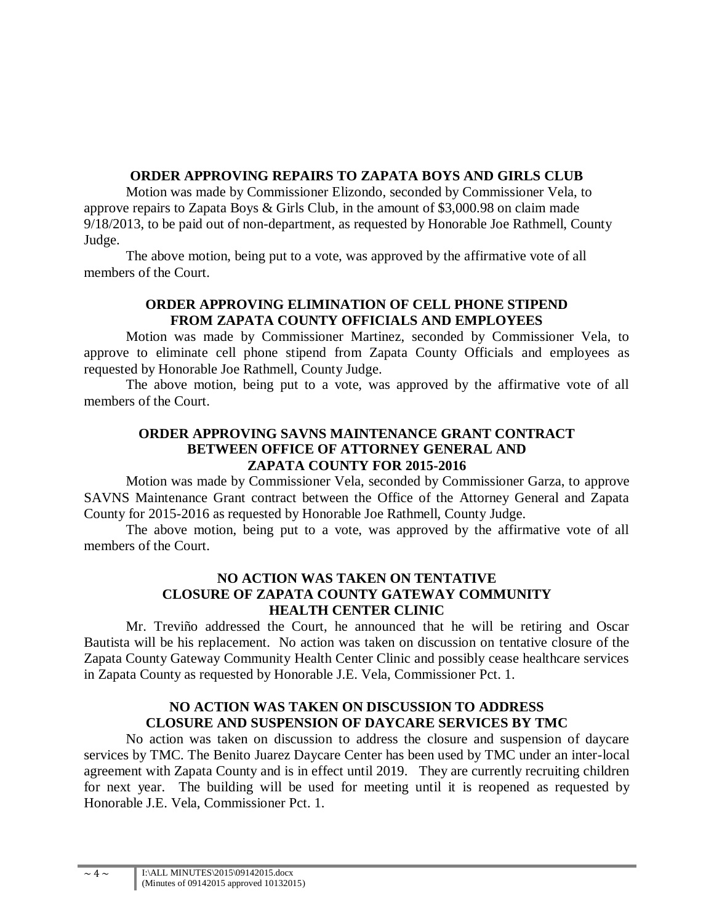# **ORDER APPROVING REPAIRS TO ZAPATA BOYS AND GIRLS CLUB**

Motion was made by Commissioner Elizondo, seconded by Commissioner Vela, to approve repairs to Zapata Boys & Girls Club, in the amount of \$3,000.98 on claim made 9/18/2013, to be paid out of non-department, as requested by Honorable Joe Rathmell, County Judge.

The above motion, being put to a vote, was approved by the affirmative vote of all members of the Court.

## **ORDER APPROVING ELIMINATION OF CELL PHONE STIPEND FROM ZAPATA COUNTY OFFICIALS AND EMPLOYEES**

Motion was made by Commissioner Martinez, seconded by Commissioner Vela, to approve to eliminate cell phone stipend from Zapata County Officials and employees as requested by Honorable Joe Rathmell, County Judge.

The above motion, being put to a vote, was approved by the affirmative vote of all members of the Court.

# **ORDER APPROVING SAVNS MAINTENANCE GRANT CONTRACT BETWEEN OFFICE OF ATTORNEY GENERAL AND ZAPATA COUNTY FOR 2015-2016**

Motion was made by Commissioner Vela, seconded by Commissioner Garza, to approve SAVNS Maintenance Grant contract between the Office of the Attorney General and Zapata County for 2015-2016 as requested by Honorable Joe Rathmell, County Judge.

The above motion, being put to a vote, was approved by the affirmative vote of all members of the Court.

# **NO ACTION WAS TAKEN ON TENTATIVE CLOSURE OF ZAPATA COUNTY GATEWAY COMMUNITY HEALTH CENTER CLINIC**

Mr. Treviño addressed the Court, he announced that he will be retiring and Oscar Bautista will be his replacement. No action was taken on discussion on tentative closure of the Zapata County Gateway Community Health Center Clinic and possibly cease healthcare services in Zapata County as requested by Honorable J.E. Vela, Commissioner Pct. 1.

# **NO ACTION WAS TAKEN ON DISCUSSION TO ADDRESS CLOSURE AND SUSPENSION OF DAYCARE SERVICES BY TMC**

No action was taken on discussion to address the closure and suspension of daycare services by TMC. The Benito Juarez Daycare Center has been used by TMC under an inter-local agreement with Zapata County and is in effect until 2019. They are currently recruiting children for next year. The building will be used for meeting until it is reopened as requested by Honorable J.E. Vela, Commissioner Pct. 1.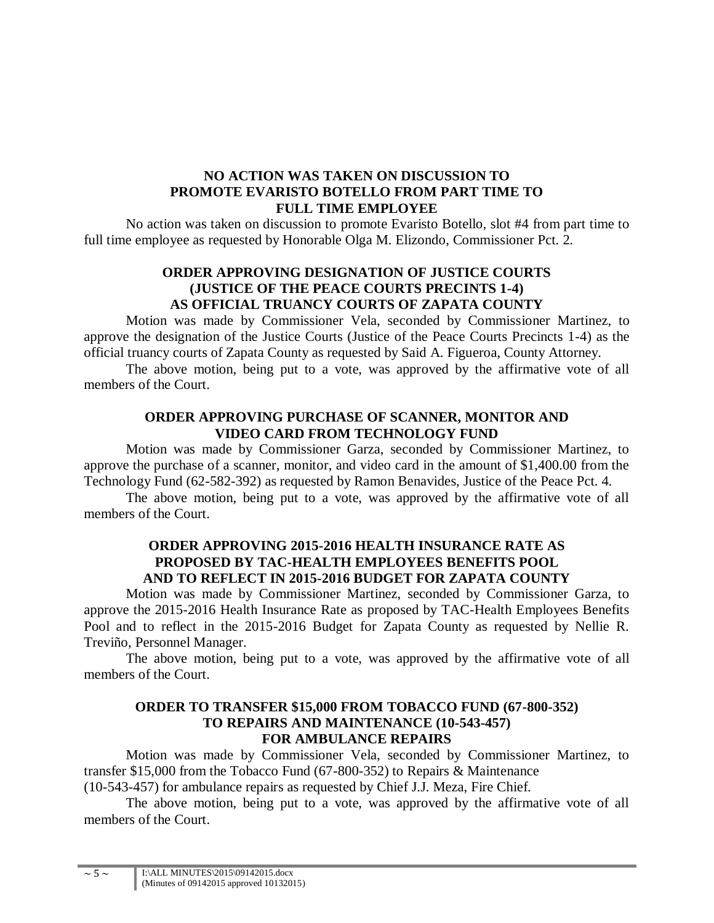#### **NO ACTION WAS TAKEN ON DISCUSSION TO PROMOTE EVARISTO BOTELLO FROM PART TIME TO FULL TIME EMPLOYEE**

No action was taken on discussion to promote Evaristo Botello, slot #4 from part time to full time employee as requested by Honorable Olga M. Elizondo, Commissioner Pct. 2.

## **ORDER APPROVING DESIGNATION OF JUSTICE COURTS (JUSTICE OF THE PEACE COURTS PRECINTS 1-4) AS OFFICIAL TRUANCY COURTS OF ZAPATA COUNTY**

Motion was made by Commissioner Vela, seconded by Commissioner Martinez, to approve the designation of the Justice Courts (Justice of the Peace Courts Precincts 1-4) as the official truancy courts of Zapata County as requested by Said A. Figueroa, County Attorney.

The above motion, being put to a vote, was approved by the affirmative vote of all members of the Court.

## **ORDER APPROVING PURCHASE OF SCANNER, MONITOR AND VIDEO CARD FROM TECHNOLOGY FUND**

Motion was made by Commissioner Garza, seconded by Commissioner Martinez, to approve the purchase of a scanner, monitor, and video card in the amount of \$1,400.00 from the Technology Fund (62-582-392) as requested by Ramon Benavides, Justice of the Peace Pct. 4.

The above motion, being put to a vote, was approved by the affirmative vote of all members of the Court.

## **ORDER APPROVING 2015-2016 HEALTH INSURANCE RATE AS PROPOSED BY TAC-HEALTH EMPLOYEES BENEFITS POOL AND TO REFLECT IN 2015-2016 BUDGET FOR ZAPATA COUNTY**

Motion was made by Commissioner Martinez, seconded by Commissioner Garza, to approve the 2015-2016 Health Insurance Rate as proposed by TAC-Health Employees Benefits Pool and to reflect in the 2015-2016 Budget for Zapata County as requested by Nellie R. Treviño, Personnel Manager.

The above motion, being put to a vote, was approved by the affirmative vote of all members of the Court.

### **ORDER TO TRANSFER \$15,000 FROM TOBACCO FUND (67-800-352) TO REPAIRS AND MAINTENANCE (10-543-457) FOR AMBULANCE REPAIRS**

Motion was made by Commissioner Vela, seconded by Commissioner Martinez, to transfer \$15,000 from the Tobacco Fund (67-800-352) to Repairs & Maintenance

(10-543-457) for ambulance repairs as requested by Chief J.J. Meza, Fire Chief.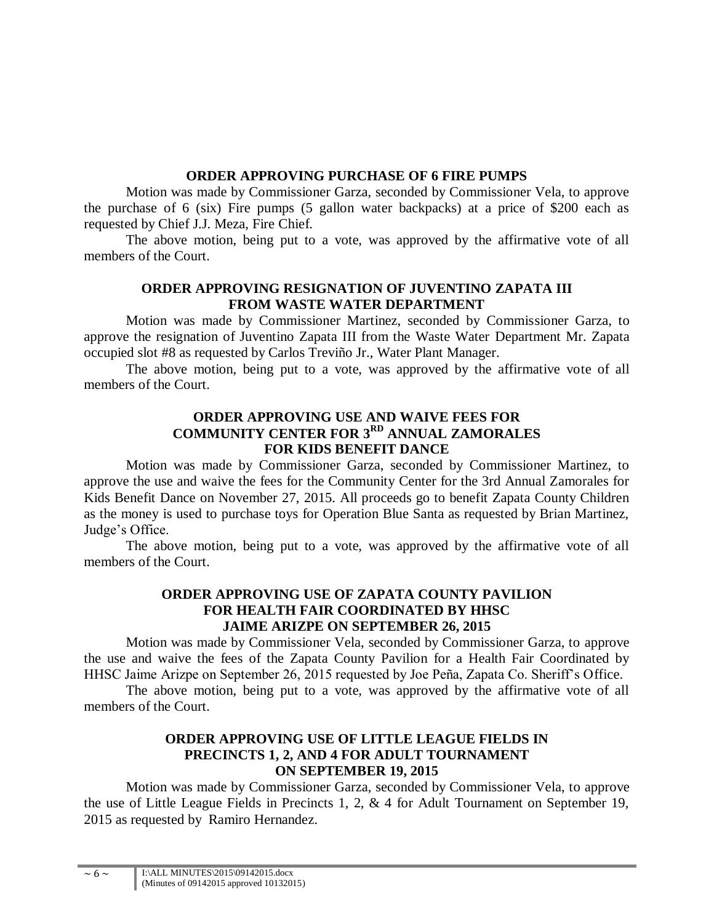### **ORDER APPROVING PURCHASE OF 6 FIRE PUMPS**

Motion was made by Commissioner Garza, seconded by Commissioner Vela, to approve the purchase of 6 (six) Fire pumps (5 gallon water backpacks) at a price of \$200 each as requested by Chief J.J. Meza, Fire Chief.

The above motion, being put to a vote, was approved by the affirmative vote of all members of the Court.

# **ORDER APPROVING RESIGNATION OF JUVENTINO ZAPATA III FROM WASTE WATER DEPARTMENT**

Motion was made by Commissioner Martinez, seconded by Commissioner Garza, to approve the resignation of Juventino Zapata III from the Waste Water Department Mr. Zapata occupied slot #8 as requested by Carlos Treviño Jr., Water Plant Manager.

The above motion, being put to a vote, was approved by the affirmative vote of all members of the Court.

# **ORDER APPROVING USE AND WAIVE FEES FOR COMMUNITY CENTER FOR 3RD ANNUAL ZAMORALES FOR KIDS BENEFIT DANCE**

Motion was made by Commissioner Garza, seconded by Commissioner Martinez, to approve the use and waive the fees for the Community Center for the 3rd Annual Zamorales for Kids Benefit Dance on November 27, 2015. All proceeds go to benefit Zapata County Children as the money is used to purchase toys for Operation Blue Santa as requested by Brian Martinez, Judge's Office.

The above motion, being put to a vote, was approved by the affirmative vote of all members of the Court.

# **ORDER APPROVING USE OF ZAPATA COUNTY PAVILION FOR HEALTH FAIR COORDINATED BY HHSC JAIME ARIZPE ON SEPTEMBER 26, 2015**

Motion was made by Commissioner Vela, seconded by Commissioner Garza, to approve the use and waive the fees of the Zapata County Pavilion for a Health Fair Coordinated by HHSC Jaime Arizpe on September 26, 2015 requested by Joe Peña, Zapata Co. Sheriff's Office.

The above motion, being put to a vote, was approved by the affirmative vote of all members of the Court.

# **ORDER APPROVING USE OF LITTLE LEAGUE FIELDS IN PRECINCTS 1, 2, AND 4 FOR ADULT TOURNAMENT ON SEPTEMBER 19, 2015**

Motion was made by Commissioner Garza, seconded by Commissioner Vela, to approve the use of Little League Fields in Precincts 1, 2, & 4 for Adult Tournament on September 19, 2015 as requested by Ramiro Hernandez.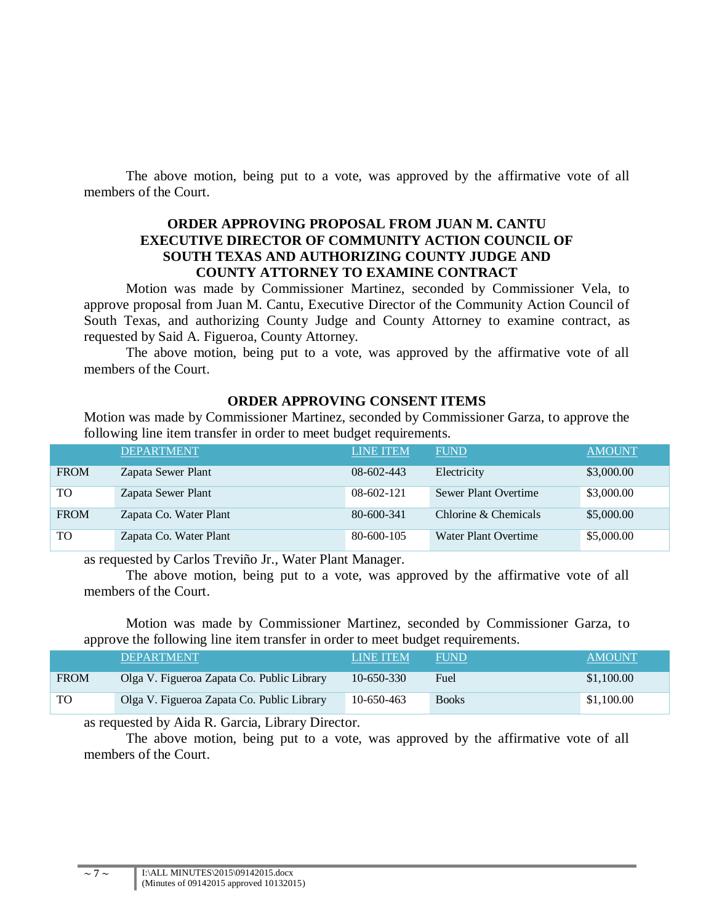The above motion, being put to a vote, was approved by the affirmative vote of all members of the Court.

#### **ORDER APPROVING PROPOSAL FROM JUAN M. CANTU EXECUTIVE DIRECTOR OF COMMUNITY ACTION COUNCIL OF SOUTH TEXAS AND AUTHORIZING COUNTY JUDGE AND COUNTY ATTORNEY TO EXAMINE CONTRACT**

Motion was made by Commissioner Martinez, seconded by Commissioner Vela, to approve proposal from Juan M. Cantu, Executive Director of the Community Action Council of South Texas, and authorizing County Judge and County Attorney to examine contract, as requested by Said A. Figueroa, County Attorney.

The above motion, being put to a vote, was approved by the affirmative vote of all members of the Court.

### **ORDER APPROVING CONSENT ITEMS**

Motion was made by Commissioner Martinez, seconded by Commissioner Garza, to approve the following line item transfer in order to meet budget requirements.

|             | <b>DEPARTMENT</b>      | <b>LINE ITEM</b> | <b>FUND</b>          | <b>AMOUNT</b> |
|-------------|------------------------|------------------|----------------------|---------------|
| <b>FROM</b> | Zapata Sewer Plant     | $08-602-443$     | Electricity          | \$3,000.00    |
| TO          | Zapata Sewer Plant     | $08-602-121$     | Sewer Plant Overtime | \$3,000.00    |
| <b>FROM</b> | Zapata Co. Water Plant | $80 - 600 - 341$ | Chlorine & Chemicals | \$5,000.00    |
| TO          | Zapata Co. Water Plant | 80-600-105       | Water Plant Overtime | \$5,000.00    |

as requested by Carlos Treviño Jr., Water Plant Manager.

The above motion, being put to a vote, was approved by the affirmative vote of all members of the Court.

Motion was made by Commissioner Martinez, seconded by Commissioner Garza, to approve the following line item transfer in order to meet budget requirements.

|             | <b>DEPARTMENT</b>                          | <b>LINE ITEM</b> | <b>FUND</b>  | <b>AMOUNT</b> |
|-------------|--------------------------------------------|------------------|--------------|---------------|
| <b>FROM</b> | Olga V. Figueroa Zapata Co. Public Library | $10 - 650 - 330$ | Fuel         | \$1,100.00    |
| TO.         | Olga V. Figueroa Zapata Co. Public Library | 10-650-463       | <b>Books</b> | \$1,100.00    |

as requested by Aida R. Garcia, Library Director.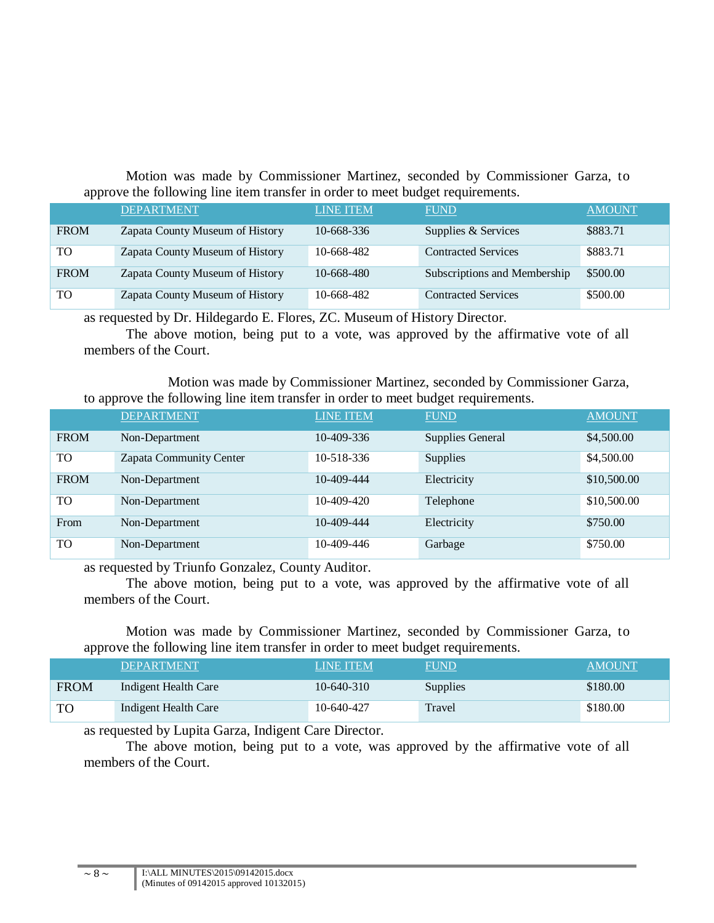Motion was made by Commissioner Martinez, seconded by Commissioner Garza, to approve the following line item transfer in order to meet budget requirements.

|                | <b>DEPARTMENT</b>               | <b>LINE ITEM</b> | <b>FUND</b>                  | <b>AMOUNT</b> |
|----------------|---------------------------------|------------------|------------------------------|---------------|
| <b>FROM</b>    | Zapata County Museum of History | 10-668-336       | Supplies & Services          | \$883.71      |
| TO             | Zapata County Museum of History | 10-668-482       | <b>Contracted Services</b>   | \$883.71      |
| <b>FROM</b>    | Zapata County Museum of History | 10-668-480       | Subscriptions and Membership | \$500.00      |
| T <sub>O</sub> | Zapata County Museum of History | 10-668-482       | <b>Contracted Services</b>   | \$500.00      |

as requested by Dr. Hildegardo E. Flores, ZC. Museum of History Director.

The above motion, being put to a vote, was approved by the affirmative vote of all members of the Court.

Motion was made by Commissioner Martinez, seconded by Commissioner Garza, to approve the following line item transfer in order to meet budget requirements.

|             | <b>DEPARTMENT</b>       | <b>LINE ITEM</b> | <b>FUND</b>             | <b>AMOUNT</b> |
|-------------|-------------------------|------------------|-------------------------|---------------|
| <b>FROM</b> | Non-Department          | 10-409-336       | <b>Supplies General</b> | \$4,500.00    |
| TO          | Zapata Community Center | 10-518-336       | <b>Supplies</b>         | \$4,500.00    |
| <b>FROM</b> | Non-Department          | 10-409-444       | Electricity             | \$10,500.00   |
| <b>TO</b>   | Non-Department          | $10-409-420$     | Telephone               | \$10,500.00   |
| From        | Non-Department          | 10-409-444       | Electricity             | \$750.00      |
| TO          | Non-Department          | 10-409-446       | Garbage                 | \$750.00      |

as requested by Triunfo Gonzalez, County Auditor.

The above motion, being put to a vote, was approved by the affirmative vote of all members of the Court.

Motion was made by Commissioner Martinez, seconded by Commissioner Garza, to approve the following line item transfer in order to meet budget requirements.

|             | <b>DEPARTMENT</b>    | <b>LINE ITEM</b> | <b>FUND</b>     | AMOUNT   |
|-------------|----------------------|------------------|-----------------|----------|
| <b>FROM</b> | Indigent Health Care | 10-640-310       | <b>Supplies</b> | \$180.00 |
| <b>TO</b>   | Indigent Health Care | 10-640-427       | Travel          | \$180.00 |

as requested by Lupita Garza, Indigent Care Director.